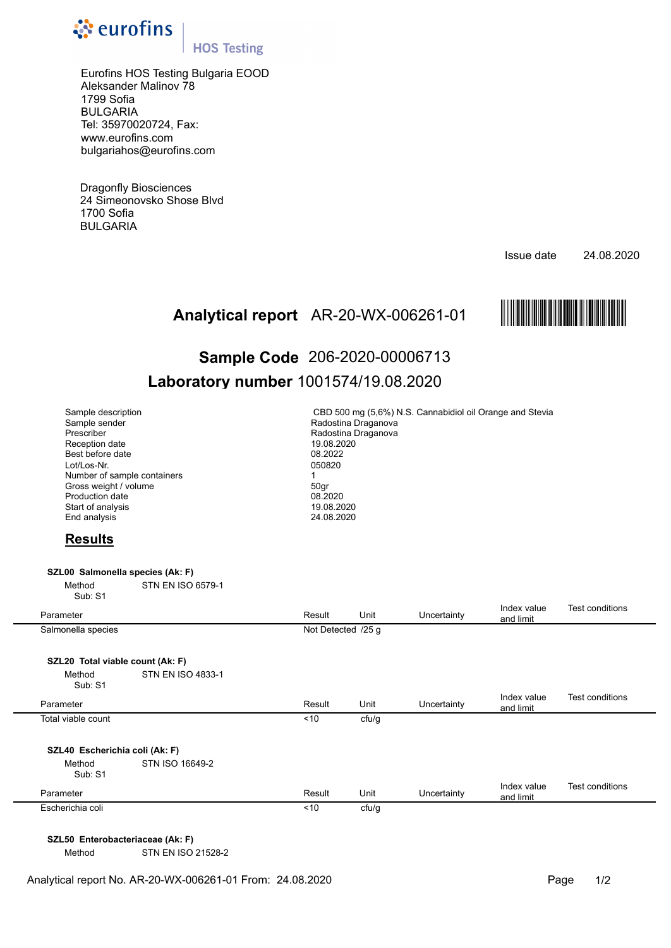

## **HOS Testing**

Eurofins HOS Testing Bulgaria EOOD Aleksander Malinov 78 1799 Sofia BULGARIA Tel: 35970020724, Fax: www.eurofins.com bulgariahos@eurofins.com

Dragonfly Biosciences 24 Simeonovsko Shose Blvd 1700 Sofia BULGARIA

Issue date 24.08.2020



# Analytical report AR-20-WX-006261-01 **MAREE AREENT REPORTED**<br>Sample Code 206-2020-00006713 **Sample Code** 206-2020-00006713 **Laboratory number** 1001574/19.08.2020

| 050820<br>$\mathbf{1}$<br>50gr | CBD 500 mg (5,6%) N.S. Cannabidiol oil Orange and Stevia<br>Radostina Draganova<br>Radostina Draganova<br>19.08.2020<br>08.2022<br>08.2020<br>19.08.2020<br>24.08.2020 |             |                          |                        |  |  |  |
|--------------------------------|------------------------------------------------------------------------------------------------------------------------------------------------------------------------|-------------|--------------------------|------------------------|--|--|--|
|                                |                                                                                                                                                                        |             |                          |                        |  |  |  |
|                                |                                                                                                                                                                        |             |                          |                        |  |  |  |
|                                |                                                                                                                                                                        |             |                          |                        |  |  |  |
| Result                         | Unit                                                                                                                                                                   | Uncertainty | Index value<br>and limit | Test conditions        |  |  |  |
| Not Detected /25 g             |                                                                                                                                                                        |             |                          |                        |  |  |  |
|                                |                                                                                                                                                                        |             |                          |                        |  |  |  |
|                                |                                                                                                                                                                        |             |                          |                        |  |  |  |
| Result                         | Unit                                                                                                                                                                   | Uncertainty | Index value<br>and limit | <b>Test conditions</b> |  |  |  |
| ~10                            | cfu/g                                                                                                                                                                  |             |                          |                        |  |  |  |
|                                |                                                                                                                                                                        |             |                          |                        |  |  |  |
|                                |                                                                                                                                                                        |             |                          |                        |  |  |  |
| Result                         | Unit                                                                                                                                                                   | Uncertainty | Index value<br>and limit | Test conditions        |  |  |  |
|                                |                                                                                                                                                                        |             |                          |                        |  |  |  |
|                                |                                                                                                                                                                        |             |                          |                        |  |  |  |

**SZL50 Enterobacteriaceae (Ak: F)** 

Method STN EN ISO 21528-2